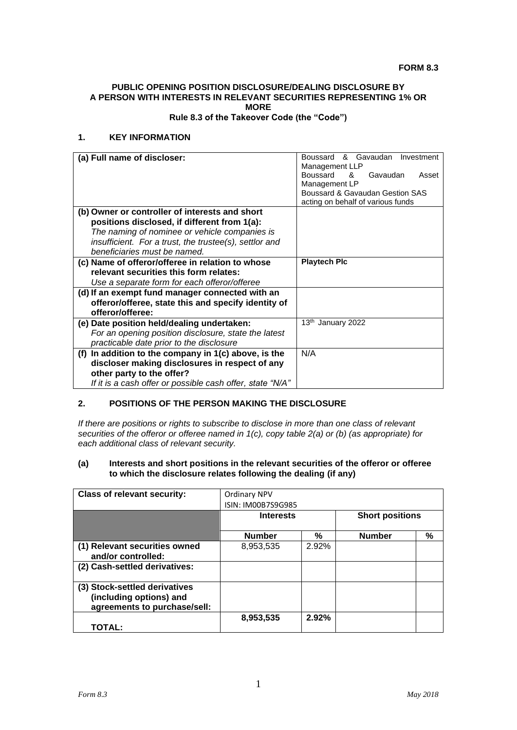#### **FORM 8.3**

# **PUBLIC OPENING POSITION DISCLOSURE/DEALING DISCLOSURE BY A PERSON WITH INTERESTS IN RELEVANT SECURITIES REPRESENTING 1% OR MORE**

**Rule 8.3 of the Takeover Code (the "Code")**

# **1. KEY INFORMATION**

| (a) Full name of discloser:                               | & Gavaudan<br>Boussard<br>Investment |
|-----------------------------------------------------------|--------------------------------------|
|                                                           | Management LLP                       |
|                                                           | Boussard<br>Gavaudan<br>୍ୟ<br>Asset  |
|                                                           | Management LP                        |
|                                                           | Boussard & Gavaudan Gestion SAS      |
|                                                           | acting on behalf of various funds    |
| (b) Owner or controller of interests and short            |                                      |
| positions disclosed, if different from 1(a):              |                                      |
| The naming of nominee or vehicle companies is             |                                      |
| insufficient. For a trust, the trustee(s), settlor and    |                                      |
| beneficiaries must be named.                              |                                      |
| (c) Name of offeror/offeree in relation to whose          | <b>Playtech Plc</b>                  |
| relevant securities this form relates:                    |                                      |
| Use a separate form for each offeror/offeree              |                                      |
| (d) If an exempt fund manager connected with an           |                                      |
| offeror/offeree, state this and specify identity of       |                                      |
| offeror/offeree:                                          |                                      |
| (e) Date position held/dealing undertaken:                | 13th January 2022                    |
| For an opening position disclosure, state the latest      |                                      |
| practicable date prior to the disclosure                  |                                      |
| (f) In addition to the company in $1(c)$ above, is the    | N/A                                  |
| discloser making disclosures in respect of any            |                                      |
| other party to the offer?                                 |                                      |
| If it is a cash offer or possible cash offer, state "N/A" |                                      |

# **2. POSITIONS OF THE PERSON MAKING THE DISCLOSURE**

*If there are positions or rights to subscribe to disclose in more than one class of relevant securities of the offeror or offeree named in 1(c), copy table 2(a) or (b) (as appropriate) for each additional class of relevant security.*

#### **(a) Interests and short positions in the relevant securities of the offeror or offeree to which the disclosure relates following the dealing (if any)**

| <b>Class of relevant security:</b>                                                       | Ordinary NPV       |       |                        |   |
|------------------------------------------------------------------------------------------|--------------------|-------|------------------------|---|
|                                                                                          | ISIN: IM00B7S9G985 |       |                        |   |
|                                                                                          | <b>Interests</b>   |       | <b>Short positions</b> |   |
|                                                                                          | <b>Number</b>      | %     | <b>Number</b>          | % |
| (1) Relevant securities owned<br>and/or controlled:                                      | 8,953,535          | 2.92% |                        |   |
| (2) Cash-settled derivatives:                                                            |                    |       |                        |   |
| (3) Stock-settled derivatives<br>(including options) and<br>agreements to purchase/sell: |                    |       |                        |   |
| TOTAL:                                                                                   | 8,953,535          | 2.92% |                        |   |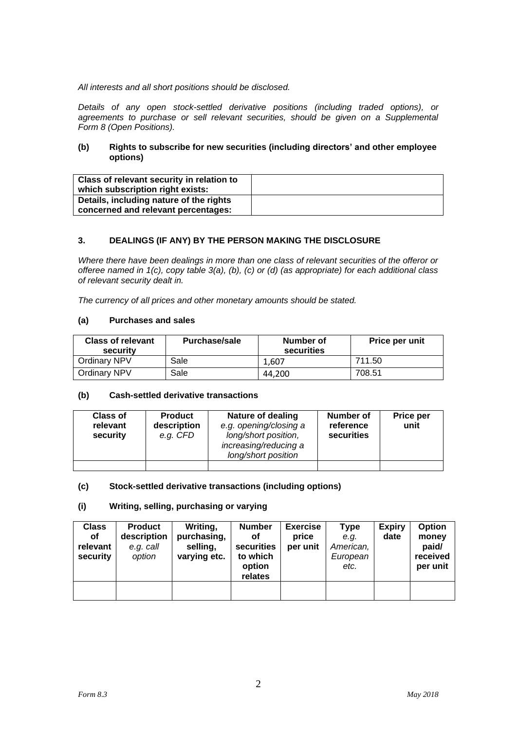*All interests and all short positions should be disclosed.*

*Details of any open stock-settled derivative positions (including traded options), or agreements to purchase or sell relevant securities, should be given on a Supplemental Form 8 (Open Positions).*

# **(b) Rights to subscribe for new securities (including directors' and other employee options)**

| Class of relevant security in relation to<br>which subscription right exists:  |  |
|--------------------------------------------------------------------------------|--|
| Details, including nature of the rights<br>concerned and relevant percentages: |  |

# **3. DEALINGS (IF ANY) BY THE PERSON MAKING THE DISCLOSURE**

*Where there have been dealings in more than one class of relevant securities of the offeror or offeree named in 1(c), copy table 3(a), (b), (c) or (d) (as appropriate) for each additional class of relevant security dealt in.*

*The currency of all prices and other monetary amounts should be stated.*

# **(a) Purchases and sales**

| <b>Class of relevant</b><br>security | <b>Purchase/sale</b> | Number of<br>securities | Price per unit |
|--------------------------------------|----------------------|-------------------------|----------------|
| Ordinary NPV                         | Sale                 | 1.607                   | 711.50         |
| Ordinary NPV                         | Sale                 | 44.200                  | 708.51         |

### **(b) Cash-settled derivative transactions**

| <b>Class of</b><br>relevant<br>security | <b>Product</b><br>description<br>e.g. CFD | Nature of dealing<br>e.g. opening/closing a<br>long/short position,<br>increasing/reducing a<br>long/short position | Number of<br>reference<br>securities | Price per<br>unit |
|-----------------------------------------|-------------------------------------------|---------------------------------------------------------------------------------------------------------------------|--------------------------------------|-------------------|
|                                         |                                           |                                                                                                                     |                                      |                   |

### **(c) Stock-settled derivative transactions (including options)**

### **(i) Writing, selling, purchasing or varying**

| <b>Class</b> | <b>Product</b> | Writing,     | <b>Number</b> | <b>Exercise</b> | Type      | <b>Expiry</b> | <b>Option</b> |
|--------------|----------------|--------------|---------------|-----------------|-----------|---------------|---------------|
| οf           | description    | purchasing,  | οf            | price           | e.g.      | date          | money         |
| relevant     | e.g. call      | selling,     | securities    | per unit        | American, |               | paid/         |
| security     | option         | varying etc. | to which      |                 | European  |               | received      |
|              |                |              | option        |                 | etc.      |               | per unit      |
|              |                |              | relates       |                 |           |               |               |
|              |                |              |               |                 |           |               |               |
|              |                |              |               |                 |           |               |               |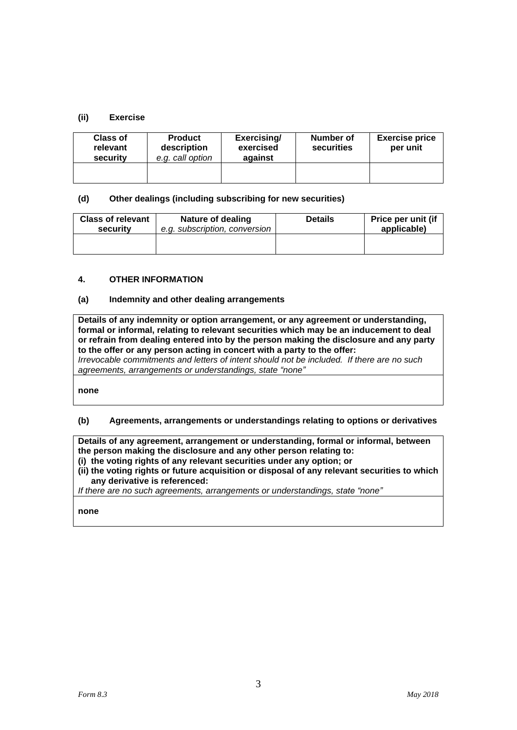# **(ii) Exercise**

| <b>Class of</b><br>relevant<br>security | <b>Product</b><br>description<br>e.g. call option | Exercising/<br>exercised<br>against | Number of<br>securities | <b>Exercise price</b><br>per unit |
|-----------------------------------------|---------------------------------------------------|-------------------------------------|-------------------------|-----------------------------------|
|                                         |                                                   |                                     |                         |                                   |

### **(d) Other dealings (including subscribing for new securities)**

| <b>Class of relevant</b> | Nature of dealing             | <b>Details</b> | Price per unit (if |
|--------------------------|-------------------------------|----------------|--------------------|
| security                 | e.g. subscription, conversion |                | applicable)        |
|                          |                               |                |                    |

#### **4. OTHER INFORMATION**

### **(a) Indemnity and other dealing arrangements**

**Details of any indemnity or option arrangement, or any agreement or understanding, formal or informal, relating to relevant securities which may be an inducement to deal or refrain from dealing entered into by the person making the disclosure and any party to the offer or any person acting in concert with a party to the offer:** *Irrevocable commitments and letters of intent should not be included. If there are no such agreements, arrangements or understandings, state "none"*

**none**

### **(b) Agreements, arrangements or understandings relating to options or derivatives**

**Details of any agreement, arrangement or understanding, formal or informal, between the person making the disclosure and any other person relating to:**

- **(i) the voting rights of any relevant securities under any option; or**
- **(ii) the voting rights or future acquisition or disposal of any relevant securities to which any derivative is referenced:**

*If there are no such agreements, arrangements or understandings, state "none"*

**none**